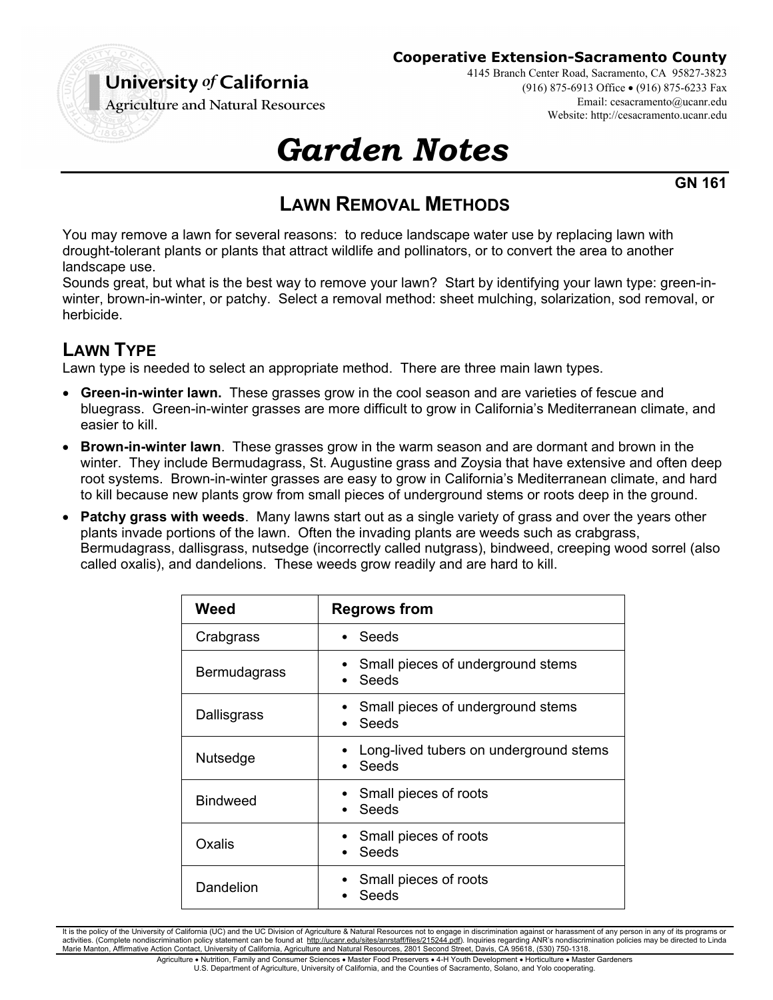

#### **Cooperative Extension-Sacramento County**

4145 Branch Center Road, Sacramento, CA 95827-3823 (916) 875-6913 Office (916) 875-6233 Fax Email: cesacramento@ucanr.edu Website: http://cesacramento.ucanr.edu

**Agriculture and Natural Resources** 

# *Garden Notes*

**GN 161**

## **LAWN REMOVAL METHODS**

You may remove a lawn for several reasons: to reduce landscape water use by replacing lawn with drought-tolerant plants or plants that attract wildlife and pollinators, or to convert the area to another landscape use.

Sounds great, but what is the best way to remove your lawn? Start by identifying your lawn type: green-inwinter, brown-in-winter, or patchy. Select a removal method: sheet mulching, solarization, sod removal, or herbicide.

## **LAWN TYPE**

Lawn type is needed to select an appropriate method. There are three main lawn types.

- **Green-in-winter lawn.** These grasses grow in the cool season and are varieties of fescue and bluegrass. Green-in-winter grasses are more difficult to grow in California's Mediterranean climate, and easier to kill.
- **Brown-in-winter lawn**. These grasses grow in the warm season and are dormant and brown in the winter. They include Bermudagrass, St. Augustine grass and Zoysia that have extensive and often deep root systems. Brown-in-winter grasses are easy to grow in California's Mediterranean climate, and hard to kill because new plants grow from small pieces of underground stems or roots deep in the ground.
- **Patchy grass with weeds**. Many lawns start out as a single variety of grass and over the years other plants invade portions of the lawn. Often the invading plants are weeds such as crabgrass, Bermudagrass, dallisgrass, nutsedge (incorrectly called nutgrass), bindweed, creeping wood sorrel (also called oxalis), and dandelions. These weeds grow readily and are hard to kill.

| Weed                | <b>Regrows from</b>                             |
|---------------------|-------------------------------------------------|
| Crabgrass           | Seeds                                           |
| <b>Bermudagrass</b> | Small pieces of underground stems<br>Seeds      |
| Dallisgrass         | Small pieces of underground stems<br>Seeds      |
| Nutsedge            | Long-lived tubers on underground stems<br>Seeds |
| <b>Bindweed</b>     | Small pieces of roots<br>Seeds                  |
| Oxalis              | Small pieces of roots<br>Seeds                  |
| Dandelion           | Small pieces of roots<br>Seeds                  |

It is the policy of the University of California (UC) and the UC Division of Agriculture & Natural Resources not to engage in discrimination against or harassment of any person in any of its programs or activities. (Complete nondiscrimination policy statement can be found at http://ucanr.edu/sites/anrstaff/files/215244.pdf). Inquiries regarding ANR's nondiscrimination policies may be directed to Linda Marie Manton, Affirmative Action Contact, University of California, Agriculture and Natural Resources, 2801 Second Street, Davis, CA 95618, (530) 750-1318.

> Agriculture . Nutrition, Family and Consumer Sciences . Master Food Preservers . 4-H Youth Development . Horticulture . Master Gardeners U.S. Department of Agriculture, University of California, and the Counties of Sacramento, Solano, and Yolo cooperating.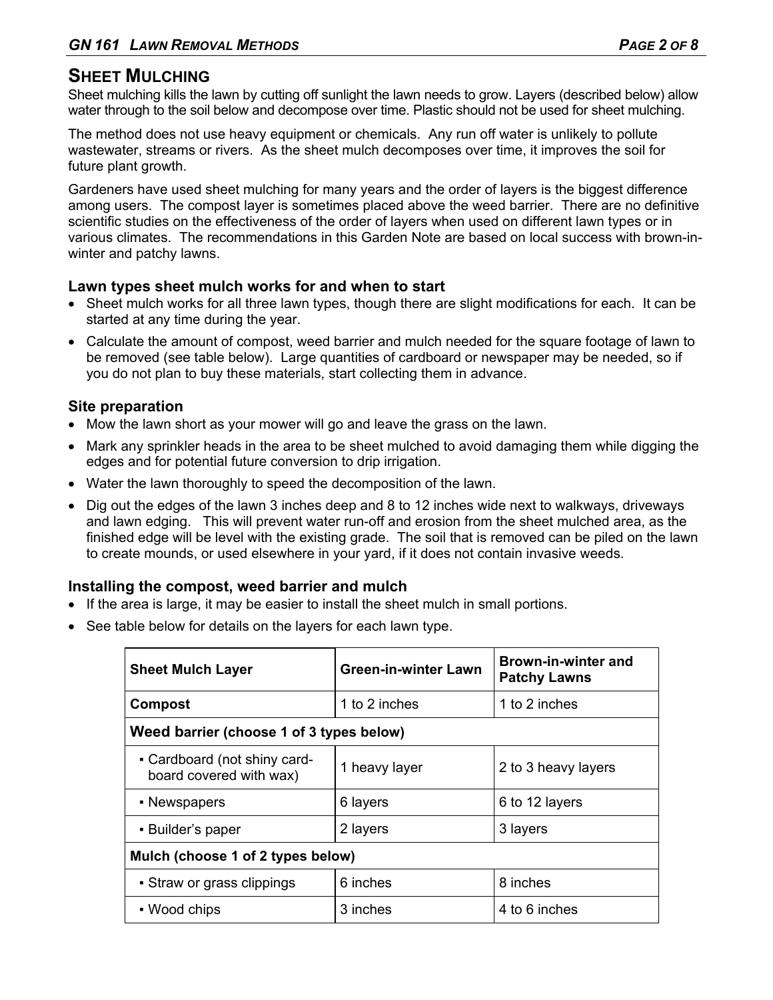## **SHEET MULCHING**

Sheet mulching kills the lawn by cutting off sunlight the lawn needs to grow. Layers (described below) allow water through to the soil below and decompose over time. Plastic should not be used for sheet mulching.

The method does not use heavy equipment or chemicals. Any run off water is unlikely to pollute wastewater, streams or rivers. As the sheet mulch decomposes over time, it improves the soil for future plant growth.

Gardeners have used sheet mulching for many years and the order of layers is the biggest difference among users. The compost layer is sometimes placed above the weed barrier. There are no definitive scientific studies on the effectiveness of the order of layers when used on different lawn types or in various climates. The recommendations in this Garden Note are based on local success with brown-inwinter and patchy lawns.

## **Lawn types sheet mulch works for and when to start**

- Sheet mulch works for all three lawn types, though there are slight modifications for each. It can be started at any time during the year.
- Calculate the amount of compost, weed barrier and mulch needed for the square footage of lawn to be removed (see table below). Large quantities of cardboard or newspaper may be needed, so if you do not plan to buy these materials, start collecting them in advance.

## **Site preparation**

- Mow the lawn short as your mower will go and leave the grass on the lawn.
- Mark any sprinkler heads in the area to be sheet mulched to avoid damaging them while digging the edges and for potential future conversion to drip irrigation.
- Water the lawn thoroughly to speed the decomposition of the lawn.
- Dig out the edges of the lawn 3 inches deep and 8 to 12 inches wide next to walkways, driveways and lawn edging. This will prevent water run-off and erosion from the sheet mulched area, as the finished edge will be level with the existing grade. The soil that is removed can be piled on the lawn to create mounds, or used elsewhere in your yard, if it does not contain invasive weeds.

## **Installing the compost, weed barrier and mulch**

- If the area is large, it may be easier to install the sheet mulch in small portions.
- See table below for details on the layers for each lawn type.

| <b>Sheet Mulch Layer</b>                                | <b>Green-in-winter Lawn</b> | <b>Brown-in-winter and</b><br><b>Patchy Lawns</b> |  |
|---------------------------------------------------------|-----------------------------|---------------------------------------------------|--|
| Compost                                                 | 1 to 2 inches               | 1 to 2 inches                                     |  |
| Weed barrier (choose 1 of 3 types below)                |                             |                                                   |  |
| - Cardboard (not shiny card-<br>board covered with wax) | 1 heavy layer               | 2 to 3 heavy layers                               |  |
| • Newspapers                                            | 6 layers                    | 6 to 12 layers                                    |  |
| • Builder's paper                                       | 2 layers                    | 3 layers                                          |  |
| Mulch (choose 1 of 2 types below)                       |                             |                                                   |  |
| • Straw or grass clippings                              | 6 inches                    | 8 inches                                          |  |
| • Wood chips                                            | 3 inches                    | 4 to 6 inches                                     |  |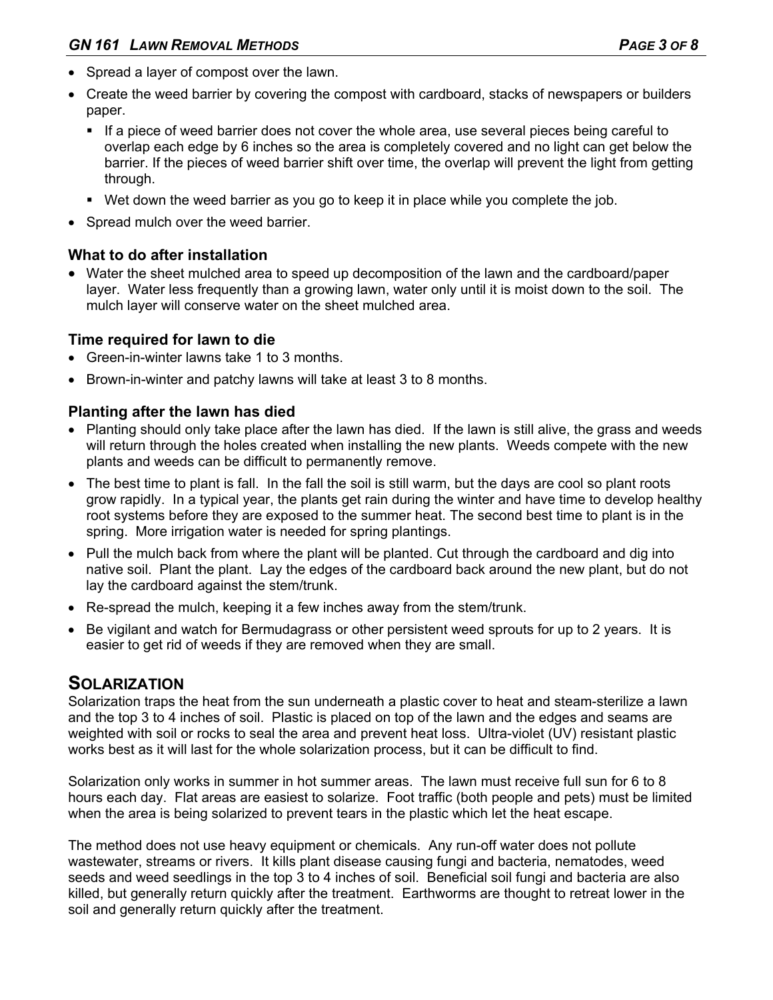- Spread a layer of compost over the lawn.
- Create the weed barrier by covering the compost with cardboard, stacks of newspapers or builders paper.
	- If a piece of weed barrier does not cover the whole area, use several pieces being careful to overlap each edge by 6 inches so the area is completely covered and no light can get below the barrier. If the pieces of weed barrier shift over time, the overlap will prevent the light from getting through.
	- Wet down the weed barrier as you go to keep it in place while you complete the job.
- Spread mulch over the weed barrier.

## **What to do after installation**

 Water the sheet mulched area to speed up decomposition of the lawn and the cardboard/paper layer. Water less frequently than a growing lawn, water only until it is moist down to the soil. The mulch layer will conserve water on the sheet mulched area.

## **Time required for lawn to die**

- Green-in-winter lawns take 1 to 3 months.
- Brown-in-winter and patchy lawns will take at least 3 to 8 months.

## **Planting after the lawn has died**

- Planting should only take place after the lawn has died. If the lawn is still alive, the grass and weeds will return through the holes created when installing the new plants. Weeds compete with the new plants and weeds can be difficult to permanently remove.
- The best time to plant is fall. In the fall the soil is still warm, but the days are cool so plant roots grow rapidly. In a typical year, the plants get rain during the winter and have time to develop healthy root systems before they are exposed to the summer heat. The second best time to plant is in the spring. More irrigation water is needed for spring plantings.
- Pull the mulch back from where the plant will be planted. Cut through the cardboard and dig into native soil. Plant the plant. Lay the edges of the cardboard back around the new plant, but do not lay the cardboard against the stem/trunk.
- Re-spread the mulch, keeping it a few inches away from the stem/trunk.
- Be vigilant and watch for Bermudagrass or other persistent weed sprouts for up to 2 years. It is easier to get rid of weeds if they are removed when they are small.

## **SOLARIZATION**

Solarization traps the heat from the sun underneath a plastic cover to heat and steam-sterilize a lawn and the top 3 to 4 inches of soil. Plastic is placed on top of the lawn and the edges and seams are weighted with soil or rocks to seal the area and prevent heat loss. Ultra-violet (UV) resistant plastic works best as it will last for the whole solarization process, but it can be difficult to find.

Solarization only works in summer in hot summer areas. The lawn must receive full sun for 6 to 8 hours each day. Flat areas are easiest to solarize. Foot traffic (both people and pets) must be limited when the area is being solarized to prevent tears in the plastic which let the heat escape.

The method does not use heavy equipment or chemicals. Any run-off water does not pollute wastewater, streams or rivers. It kills plant disease causing fungi and bacteria, nematodes, weed seeds and weed seedlings in the top 3 to 4 inches of soil. Beneficial soil fungi and bacteria are also killed, but generally return quickly after the treatment. Earthworms are thought to retreat lower in the soil and generally return quickly after the treatment.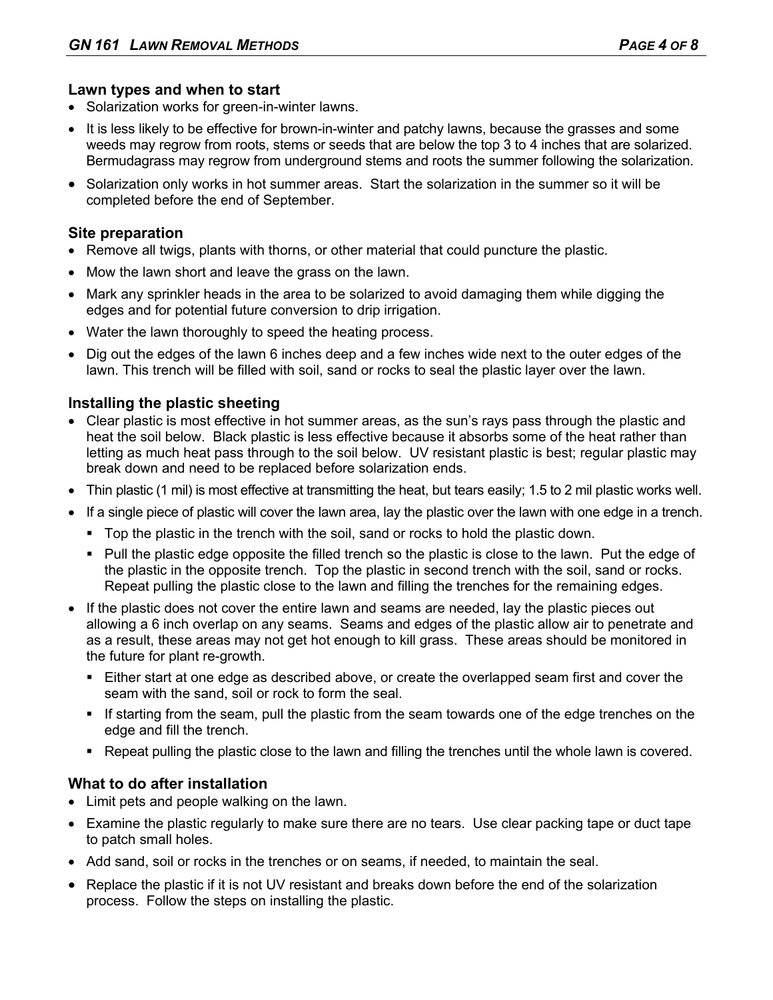## **Lawn types and when to start**

- Solarization works for green-in-winter lawns.
- It is less likely to be effective for brown-in-winter and patchy lawns, because the grasses and some weeds may regrow from roots, stems or seeds that are below the top 3 to 4 inches that are solarized. Bermudagrass may regrow from underground stems and roots the summer following the solarization.
- Solarization only works in hot summer areas. Start the solarization in the summer so it will be completed before the end of September.

#### **Site preparation**

- Remove all twigs, plants with thorns, or other material that could puncture the plastic.
- Mow the lawn short and leave the grass on the lawn.
- Mark any sprinkler heads in the area to be solarized to avoid damaging them while digging the edges and for potential future conversion to drip irrigation.
- Water the lawn thoroughly to speed the heating process.
- Dig out the edges of the lawn 6 inches deep and a few inches wide next to the outer edges of the lawn. This trench will be filled with soil, sand or rocks to seal the plastic layer over the lawn.

## **Installing the plastic sheeting**

- Clear plastic is most effective in hot summer areas, as the sun's rays pass through the plastic and heat the soil below. Black plastic is less effective because it absorbs some of the heat rather than letting as much heat pass through to the soil below. UV resistant plastic is best; regular plastic may break down and need to be replaced before solarization ends.
- Thin plastic (1 mil) is most effective at transmitting the heat, but tears easily; 1.5 to 2 mil plastic works well.
- If a single piece of plastic will cover the lawn area, lay the plastic over the lawn with one edge in a trench.
	- Top the plastic in the trench with the soil, sand or rocks to hold the plastic down.
	- Pull the plastic edge opposite the filled trench so the plastic is close to the lawn. Put the edge of the plastic in the opposite trench. Top the plastic in second trench with the soil, sand or rocks. Repeat pulling the plastic close to the lawn and filling the trenches for the remaining edges.
- If the plastic does not cover the entire lawn and seams are needed, lay the plastic pieces out allowing a 6 inch overlap on any seams. Seams and edges of the plastic allow air to penetrate and as a result, these areas may not get hot enough to kill grass. These areas should be monitored in the future for plant re-growth.
	- Either start at one edge as described above, or create the overlapped seam first and cover the seam with the sand, soil or rock to form the seal.
	- If starting from the seam, pull the plastic from the seam towards one of the edge trenches on the edge and fill the trench.
	- Repeat pulling the plastic close to the lawn and filling the trenches until the whole lawn is covered.

## **What to do after installation**

- Limit pets and people walking on the lawn.
- Examine the plastic regularly to make sure there are no tears. Use clear packing tape or duct tape to patch small holes.
- Add sand, soil or rocks in the trenches or on seams, if needed, to maintain the seal.
- Replace the plastic if it is not UV resistant and breaks down before the end of the solarization process. Follow the steps on installing the plastic.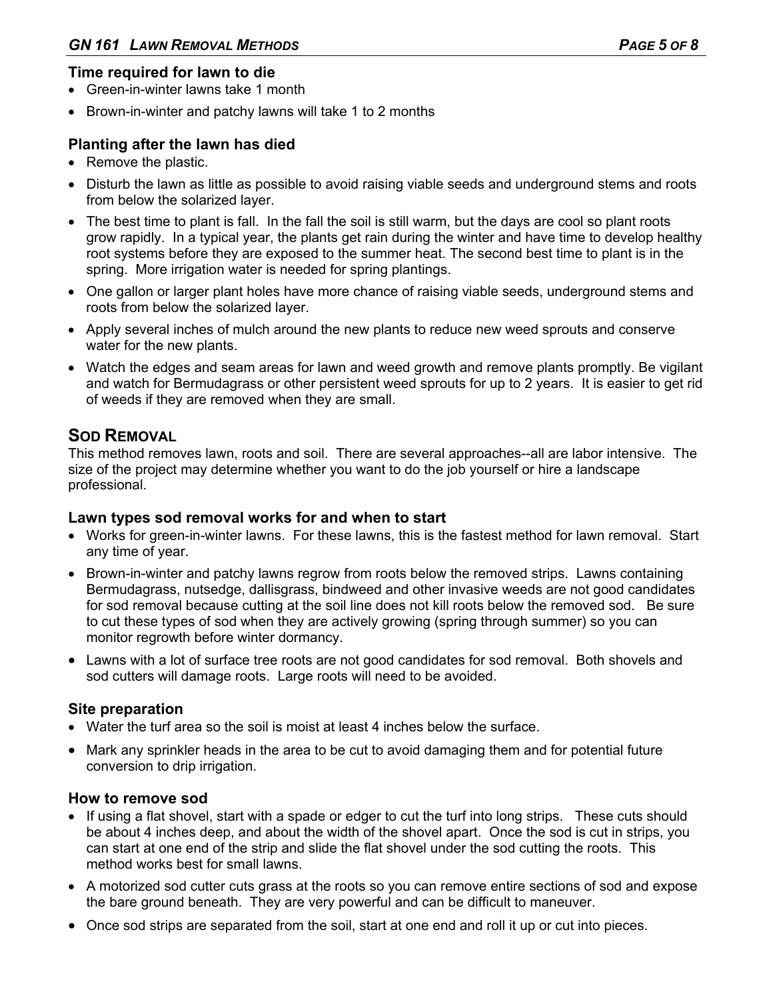## **Time required for lawn to die**

- Green-in-winter lawns take 1 month
- Brown-in-winter and patchy lawns will take 1 to 2 months

## **Planting after the lawn has died**

- Remove the plastic.
- Disturb the lawn as little as possible to avoid raising viable seeds and underground stems and roots from below the solarized layer.
- The best time to plant is fall. In the fall the soil is still warm, but the days are cool so plant roots grow rapidly. In a typical year, the plants get rain during the winter and have time to develop healthy root systems before they are exposed to the summer heat. The second best time to plant is in the spring. More irrigation water is needed for spring plantings.
- One gallon or larger plant holes have more chance of raising viable seeds, underground stems and roots from below the solarized layer.
- Apply several inches of mulch around the new plants to reduce new weed sprouts and conserve water for the new plants.
- Watch the edges and seam areas for lawn and weed growth and remove plants promptly. Be vigilant and watch for Bermudagrass or other persistent weed sprouts for up to 2 years. It is easier to get rid of weeds if they are removed when they are small.

## **SOD REMOVAL**

This method removes lawn, roots and soil. There are several approaches--all are labor intensive. The size of the project may determine whether you want to do the job yourself or hire a landscape professional.

#### **Lawn types sod removal works for and when to start**

- Works for green-in-winter lawns. For these lawns, this is the fastest method for lawn removal. Start any time of year.
- Brown-in-winter and patchy lawns regrow from roots below the removed strips. Lawns containing Bermudagrass, nutsedge, dallisgrass, bindweed and other invasive weeds are not good candidates for sod removal because cutting at the soil line does not kill roots below the removed sod. Be sure to cut these types of sod when they are actively growing (spring through summer) so you can monitor regrowth before winter dormancy.
- Lawns with a lot of surface tree roots are not good candidates for sod removal. Both shovels and sod cutters will damage roots. Large roots will need to be avoided.

#### **Site preparation**

- Water the turf area so the soil is moist at least 4 inches below the surface.
- Mark any sprinkler heads in the area to be cut to avoid damaging them and for potential future conversion to drip irrigation.

#### **How to remove sod**

- If using a flat shovel, start with a spade or edger to cut the turf into long strips. These cuts should be about 4 inches deep, and about the width of the shovel apart. Once the sod is cut in strips, you can start at one end of the strip and slide the flat shovel under the sod cutting the roots. This method works best for small lawns.
- A motorized sod cutter cuts grass at the roots so you can remove entire sections of sod and expose the bare ground beneath. They are very powerful and can be difficult to maneuver.
- Once sod strips are separated from the soil, start at one end and roll it up or cut into pieces.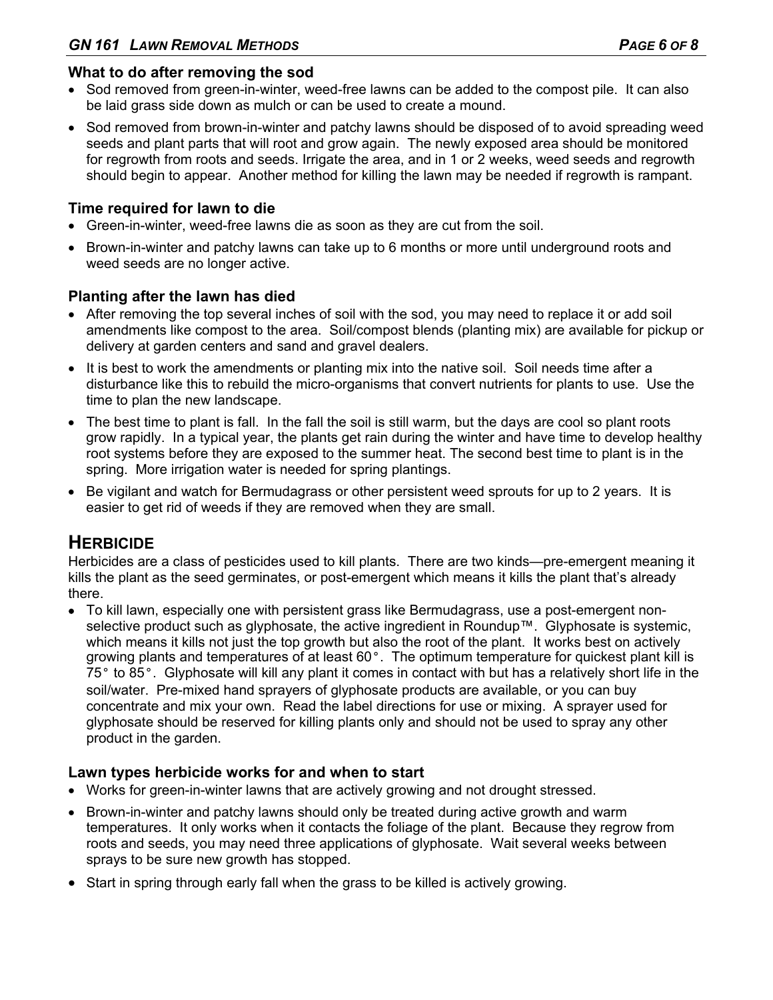## **What to do after removing the sod**

- Sod removed from green-in-winter, weed-free lawns can be added to the compost pile. It can also be laid grass side down as mulch or can be used to create a mound.
- Sod removed from brown-in-winter and patchy lawns should be disposed of to avoid spreading weed seeds and plant parts that will root and grow again. The newly exposed area should be monitored for regrowth from roots and seeds. Irrigate the area, and in 1 or 2 weeks, weed seeds and regrowth should begin to appear. Another method for killing the lawn may be needed if regrowth is rampant.

## **Time required for lawn to die**

- Green-in-winter, weed-free lawns die as soon as they are cut from the soil.
- Brown-in-winter and patchy lawns can take up to 6 months or more until underground roots and weed seeds are no longer active.

## **Planting after the lawn has died**

- After removing the top several inches of soil with the sod, you may need to replace it or add soil amendments like compost to the area. Soil/compost blends (planting mix) are available for pickup or delivery at garden centers and sand and gravel dealers.
- It is best to work the amendments or planting mix into the native soil. Soil needs time after a disturbance like this to rebuild the micro-organisms that convert nutrients for plants to use. Use the time to plan the new landscape.
- The best time to plant is fall. In the fall the soil is still warm, but the days are cool so plant roots grow rapidly. In a typical year, the plants get rain during the winter and have time to develop healthy root systems before they are exposed to the summer heat. The second best time to plant is in the spring. More irrigation water is needed for spring plantings.
- Be vigilant and watch for Bermudagrass or other persistent weed sprouts for up to 2 years. It is easier to get rid of weeds if they are removed when they are small.

## **HERBICIDE**

Herbicides are a class of pesticides used to kill plants. There are two kinds—pre-emergent meaning it kills the plant as the seed germinates, or post-emergent which means it kills the plant that's already there.

 To kill lawn, especially one with persistent grass like Bermudagrass, use a post-emergent nonselective product such as glyphosate, the active ingredient in Roundup™. Glyphosate is systemic, which means it kills not just the top growth but also the root of the plant. It works best on actively growing plants and temperatures of at least 60°. The optimum temperature for quickest plant kill is 75° to 85°. Glyphosate will kill any plant it comes in contact with but has a relatively short life in the soil/water. Pre-mixed hand sprayers of glyphosate products are available, or you can buy concentrate and mix your own. Read the label directions for use or mixing. A sprayer used for glyphosate should be reserved for killing plants only and should not be used to spray any other product in the garden.

#### **Lawn types herbicide works for and when to start**

- Works for green-in-winter lawns that are actively growing and not drought stressed.
- Brown-in-winter and patchy lawns should only be treated during active growth and warm temperatures. It only works when it contacts the foliage of the plant. Because they regrow from roots and seeds, you may need three applications of glyphosate. Wait several weeks between sprays to be sure new growth has stopped.
- Start in spring through early fall when the grass to be killed is actively growing.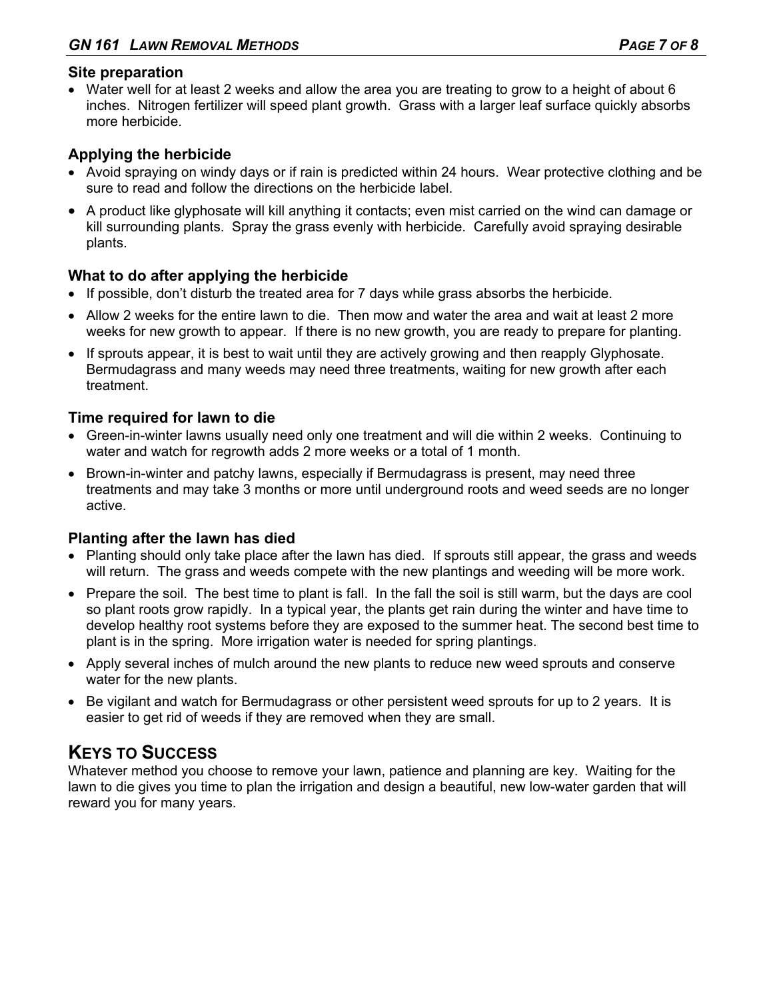## **Site preparation**

 Water well for at least 2 weeks and allow the area you are treating to grow to a height of about 6 inches. Nitrogen fertilizer will speed plant growth. Grass with a larger leaf surface quickly absorbs more herbicide.

## **Applying the herbicide**

- Avoid spraying on windy days or if rain is predicted within 24 hours. Wear protective clothing and be sure to read and follow the directions on the herbicide label.
- A product like glyphosate will kill anything it contacts; even mist carried on the wind can damage or kill surrounding plants. Spray the grass evenly with herbicide. Carefully avoid spraying desirable plants.

## **What to do after applying the herbicide**

- If possible, don't disturb the treated area for 7 days while grass absorbs the herbicide.
- Allow 2 weeks for the entire lawn to die. Then mow and water the area and wait at least 2 more weeks for new growth to appear. If there is no new growth, you are ready to prepare for planting.
- If sprouts appear, it is best to wait until they are actively growing and then reapply Glyphosate. Bermudagrass and many weeds may need three treatments, waiting for new growth after each treatment.

## **Time required for lawn to die**

- Green-in-winter lawns usually need only one treatment and will die within 2 weeks. Continuing to water and watch for regrowth adds 2 more weeks or a total of 1 month.
- Brown-in-winter and patchy lawns, especially if Bermudagrass is present, may need three treatments and may take 3 months or more until underground roots and weed seeds are no longer active.

## **Planting after the lawn has died**

- Planting should only take place after the lawn has died. If sprouts still appear, the grass and weeds will return. The grass and weeds compete with the new plantings and weeding will be more work.
- Prepare the soil. The best time to plant is fall. In the fall the soil is still warm, but the days are cool so plant roots grow rapidly. In a typical year, the plants get rain during the winter and have time to develop healthy root systems before they are exposed to the summer heat. The second best time to plant is in the spring. More irrigation water is needed for spring plantings.
- Apply several inches of mulch around the new plants to reduce new weed sprouts and conserve water for the new plants.
- Be vigilant and watch for Bermudagrass or other persistent weed sprouts for up to 2 years. It is easier to get rid of weeds if they are removed when they are small.

## **KEYS TO SUCCESS**

Whatever method you choose to remove your lawn, patience and planning are key. Waiting for the lawn to die gives you time to plan the irrigation and design a beautiful, new low-water garden that will reward you for many years.